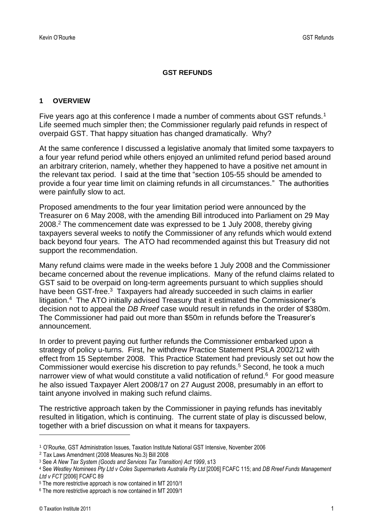#### **GST REFUNDS**

### **1 OVERVIEW**

Five years ago at this conference I made a number of comments about GST refunds.<sup>1</sup> Life seemed much simpler then; the Commissioner regularly paid refunds in respect of overpaid GST. That happy situation has changed dramatically. Why?

At the same conference I discussed a legislative anomaly that limited some taxpayers to a four year refund period while others enjoyed an unlimited refund period based around an arbitrary criterion, namely, whether they happened to have a positive net amount in the relevant tax period. I said at the time that "section 105-55 should be amended to provide a four year time limit on claiming refunds in all circumstances." The authorities were painfully slow to act.

Proposed amendments to the four year limitation period were announced by the Treasurer on 6 May 2008, with the amending Bill introduced into Parliament on 29 May 2008.<sup>2</sup> The commencement date was expressed to be 1 July 2008, thereby giving taxpayers several weeks to notify the Commissioner of any refunds which would extend back beyond four years. The ATO had recommended against this but Treasury did not support the recommendation.

Many refund claims were made in the weeks before 1 July 2008 and the Commissioner became concerned about the revenue implications. Many of the refund claims related to GST said to be overpaid on long-term agreements pursuant to which supplies should have been GST-free.<sup>3</sup> Taxpayers had already succeeded in such claims in earlier litigation.<sup>4</sup> The ATO initially advised Treasury that it estimated the Commissioner's decision not to appeal the *DB Rreef* case would result in refunds in the order of \$380m. The Commissioner had paid out more than \$50m in refunds before the Treasurer's announcement.

In order to prevent paying out further refunds the Commissioner embarked upon a strategy of policy u-turns. First, he withdrew Practice Statement PSLA 2002/12 with effect from 15 September 2008. This Practice Statement had previously set out how the Commissioner would exercise his discretion to pay refunds.<sup>5</sup> Second, he took a much narrower view of what would constitute a valid notification of refund.<sup>6</sup> For good measure he also issued Taxpayer Alert 2008/17 on 27 August 2008, presumably in an effort to taint anyone involved in making such refund claims.

The restrictive approach taken by the Commissioner in paying refunds has inevitably resulted in litigation, which is continuing. The current state of play is discussed below, together with a brief discussion on what it means for taxpayers.

<sup>1</sup> O'Rourke, GST Administration Issues, Taxation Institute National GST Intensive, November 2006

<sup>2</sup> Tax Laws Amendment (2008 Measures No.3) Bill 2008

<sup>3</sup> See *A New Tax System (Goods and Services Tax Transition) Act 1999*, s13

<sup>4</sup> See *Westley Nominees Pty Ltd v Coles Supermarkets Australia Pty Ltd* [2006] FCAFC 115; and *DB Rreef Funds Management Ltd v FCT* [2006] FCAFC 89

<sup>5</sup> The more restrictive approach is now contained in MT 2010/1

<sup>6</sup> The more restrictive approach is now contained in MT 2009/1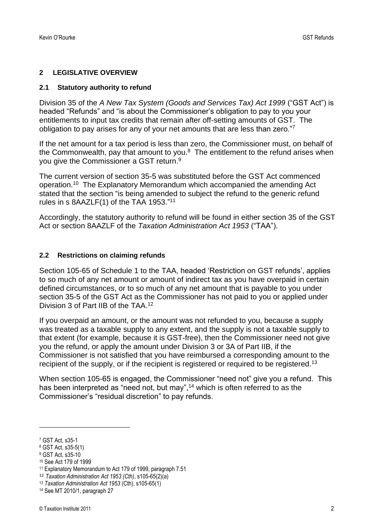### **2 LEGISLATIVE OVERVIEW**

#### **2.1 Statutory authority to refund**

Division 35 of the *A New Tax System (Goods and Services Tax) Act 1999* ("GST Act") is headed "Refunds" and "is about the Commissioner's obligation to pay to you your entitlements to input tax credits that remain after off-setting amounts of GST. The obligation to pay arises for any of your net amounts that are less than zero."7

If the net amount for a tax period is less than zero, the Commissioner must, on behalf of the Commonwealth, pay that amount to you. $8$  The entitlement to the refund arises when you give the Commissioner a GST return. 9

The current version of section 35-5 was substituted before the GST Act commenced operation.<sup>10</sup> The Explanatory Memorandum which accompanied the amending Act stated that the section "is being amended to subject the refund to the generic refund rules in s  $8$ AAZLF $(1)$  of the TAA 1953."<sup>11</sup>

Accordingly, the statutory authority to refund will be found in either section 35 of the GST Act or section 8AAZLF of the *Taxation Administration Act 1953* ("TAA").

### **2.2 Restrictions on claiming refunds**

Section 105-65 of Schedule 1 to the TAA, headed 'Restriction on GST refunds', applies to so much of any net amount or amount of indirect tax as you have overpaid in certain defined circumstances, or to so much of any net amount that is payable to you under section 35-5 of the GST Act as the Commissioner has not paid to you or applied under Division 3 of Part IIB of the TAA.<sup>12</sup>

If you overpaid an amount, or the amount was not refunded to you, because a supply was treated as a taxable supply to any extent, and the supply is not a taxable supply to that extent (for example, because it is GST-free), then the Commissioner need not give you the refund, or apply the amount under Division 3 or 3A of Part IIB, if the Commissioner is not satisfied that you have reimbursed a corresponding amount to the recipient of the supply, or if the recipient is registered or required to be registered.<sup>13</sup>

When section 105-65 is engaged, the Commissioner "need not" give you a refund. This has been interpreted as "need not, but may",<sup>14</sup> which is often referred to as the Commissioner's "residual discretion" to pay refunds.

<sup>7</sup> GST Act, s35-1

<sup>8</sup> GST Act, s35-5(1)

<sup>9</sup> GST Act, s35-10

<sup>10</sup> See Act 179 of 1999

<sup>11</sup> Explanatory Memorandum to Act 179 of 1999, paragraph 7.51

<sup>12</sup> *Taxation Administration Act 1953 (Cth)*, s105-65(2)(a)

<sup>13</sup> *Taxation Administration Act 1953* (Cth), s105-65(1)

<sup>14</sup> See MT 2010/1, paragraph 27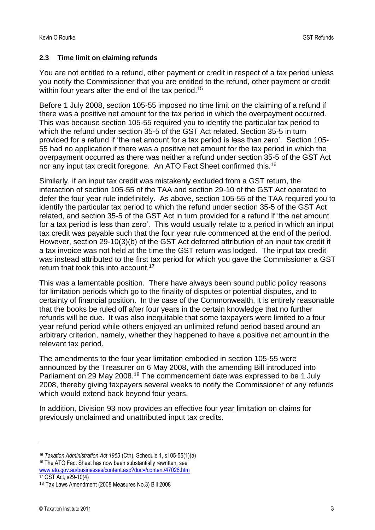### **2.3 Time limit on claiming refunds**

You are not entitled to a refund, other payment or credit in respect of a tax period unless you notify the Commissioner that you are entitled to the refund, other payment or credit within four years after the end of the tax period.<sup>15</sup>

Before 1 July 2008, section 105-55 imposed no time limit on the claiming of a refund if there was a positive net amount for the tax period in which the overpayment occurred. This was because section 105-55 required you to identify the particular tax period to which the refund under section 35-5 of the GST Act related. Section 35-5 in turn provided for a refund if 'the net amount for a tax period is less than zero'. Section 105- 55 had no application if there was a positive net amount for the tax period in which the overpayment occurred as there was neither a refund under section 35-5 of the GST Act nor any input tax credit foregone. An ATO Fact Sheet confirmed this.<sup>16</sup>

Similarly, if an input tax credit was mistakenly excluded from a GST return, the interaction of section 105-55 of the TAA and section 29-10 of the GST Act operated to defer the four year rule indefinitely. As above, section 105-55 of the TAA required you to identify the particular tax period to which the refund under section 35-5 of the GST Act related, and section 35-5 of the GST Act in turn provided for a refund if 'the net amount for a tax period is less than zero'. This would usually relate to a period in which an input tax credit was payable such that the four year rule commenced at the end of the period. However, section 29-10(3)(b) of the GST Act deferred attribution of an input tax credit if a tax invoice was not held at the time the GST return was lodged. The input tax credit was instead attributed to the first tax period for which you gave the Commissioner a GST return that took this into account.<sup>17</sup>

This was a lamentable position. There have always been sound public policy reasons for limitation periods which go to the finality of disputes or potential disputes, and to certainty of financial position. In the case of the Commonwealth, it is entirely reasonable that the books be ruled off after four years in the certain knowledge that no further refunds will be due. It was also inequitable that some taxpayers were limited to a four year refund period while others enjoyed an unlimited refund period based around an arbitrary criterion, namely, whether they happened to have a positive net amount in the relevant tax period.

The amendments to the four year limitation embodied in section 105-55 were announced by the Treasurer on 6 May 2008, with the amending Bill introduced into Parliament on 29 May 2008.<sup>18</sup> The commencement date was expressed to be 1 July 2008, thereby giving taxpayers several weeks to notify the Commissioner of any refunds which would extend back beyond four years.

In addition, Division 93 now provides an effective four year limitation on claims for previously unclaimed and unattributed input tax credits.

<sup>15</sup> *Taxation Administration Act 1953* (Cth), Schedule 1, s105-55(1)(a) <sup>16</sup> The ATO Fact Sheet has now been substantially rewritten; see

[www.ato.gov.au/businesses/content.asp?doc=/content/47026.htm](http://www.ato.gov.au/businesses/content.asp?doc=/content/47026.htm) <sup>17</sup> GST Act, s29-10(4)

<sup>18</sup> Tax Laws Amendment (2008 Measures No.3) Bill 2008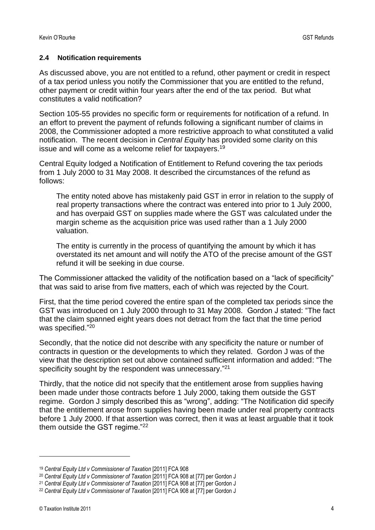### **2.4 Notification requirements**

As discussed above, you are not entitled to a refund, other payment or credit in respect of a tax period unless you notify the Commissioner that you are entitled to the refund, other payment or credit within four years after the end of the tax period. But what constitutes a valid notification?

Section 105-55 provides no specific form or requirements for notification of a refund. In an effort to prevent the payment of refunds following a significant number of claims in 2008, the Commissioner adopted a more restrictive approach to what constituted a valid notification. The recent decision in *Central Equity* has provided some clarity on this issue and will come as a welcome relief for taxpayers.<sup>19</sup>

Central Equity lodged a Notification of Entitlement to Refund covering the tax periods from 1 July 2000 to 31 May 2008. It described the circumstances of the refund as follows:

The entity noted above has mistakenly paid GST in error in relation to the supply of real property transactions where the contract was entered into prior to 1 July 2000, and has overpaid GST on supplies made where the GST was calculated under the margin scheme as the acquisition price was used rather than a 1 July 2000 valuation.

The entity is currently in the process of quantifying the amount by which it has overstated its net amount and will notify the ATO of the precise amount of the GST refund it will be seeking in due course.

The Commissioner attacked the validity of the notification based on a "lack of specificity" that was said to arise from five matters, each of which was rejected by the Court.

First, that the time period covered the entire span of the completed tax periods since the GST was introduced on 1 July 2000 through to 31 May 2008. Gordon J stated: "The fact that the claim spanned eight years does not detract from the fact that the time period was specified."<sup>20</sup>

Secondly, that the notice did not describe with any specificity the nature or number of contracts in question or the developments to which they related. Gordon J was of the view that the description set out above contained sufficient information and added: "The specificity sought by the respondent was unnecessary."<sup>21</sup>

Thirdly, that the notice did not specify that the entitlement arose from supplies having been made under those contracts before 1 July 2000, taking them outside the GST regime. Gordon J simply described this as "wrong", adding: "The Notification did specify that the entitlement arose from supplies having been made under real property contracts before 1 July 2000. If that assertion was correct, then it was at least arguable that it took them outside the GST regime."<sup>22</sup>

<sup>19</sup> *Central Equity Ltd v Commissioner of Taxation* [2011] FCA 908

<sup>20</sup> *Central Equity Ltd v Commissioner of Taxation* [2011] FCA 908 at [77] per Gordon J

<sup>21</sup> *Central Equity Ltd v Commissioner of Taxation* [2011] FCA 908 at [77] per Gordon J

<sup>22</sup> *Central Equity Ltd v Commissioner of Taxation* [2011] FCA 908 at [77] per Gordon J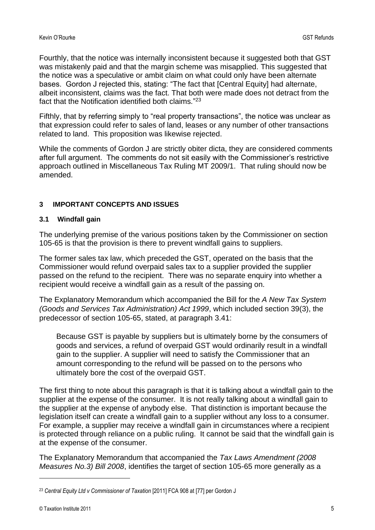Fourthly, that the notice was internally inconsistent because it suggested both that GST was mistakenly paid and that the margin scheme was misapplied. This suggested that the notice was a speculative or ambit claim on what could only have been alternate bases. Gordon J rejected this, stating: "The fact that [Central Equity] had alternate, albeit inconsistent, claims was the fact. That both were made does not detract from the fact that the Notification identified both claims."<sup>23</sup>

Fifthly, that by referring simply to "real property transactions", the notice was unclear as that expression could refer to sales of land, leases or any number of other transactions related to land. This proposition was likewise rejected.

While the comments of Gordon J are strictly obiter dicta, they are considered comments after full argument. The comments do not sit easily with the Commissioner's restrictive approach outlined in Miscellaneous Tax Ruling MT 2009/1. That ruling should now be amended.

## **3 IMPORTANT CONCEPTS AND ISSUES**

#### **3.1 Windfall gain**

The underlying premise of the various positions taken by the Commissioner on section 105-65 is that the provision is there to prevent windfall gains to suppliers.

The former sales tax law, which preceded the GST, operated on the basis that the Commissioner would refund overpaid sales tax to a supplier provided the supplier passed on the refund to the recipient. There was no separate enquiry into whether a recipient would receive a windfall gain as a result of the passing on.

The Explanatory Memorandum which accompanied the Bill for the *A New Tax System (Goods and Services Tax Administration) Act 1999*, which included section 39(3), the predecessor of section 105-65, stated, at paragraph 3.41:

Because GST is payable by suppliers but is ultimately borne by the consumers of goods and services, a refund of overpaid GST would ordinarily result in a windfall gain to the supplier. A supplier will need to satisfy the Commissioner that an amount corresponding to the refund will be passed on to the persons who ultimately bore the cost of the overpaid GST.

The first thing to note about this paragraph is that it is talking about a windfall gain to the supplier at the expense of the consumer. It is not really talking about a windfall gain to the supplier at the expense of anybody else. That distinction is important because the legislation itself can create a windfall gain to a supplier without any loss to a consumer. For example, a supplier may receive a windfall gain in circumstances where a recipient is protected through reliance on a public ruling. It cannot be said that the windfall gain is at the expense of the consumer.

The Explanatory Memorandum that accompanied the *Tax Laws Amendment (2008 Measures No.3) Bill 2008*, identifies the target of section 105-65 more generally as a

<sup>23</sup> *Central Equity Ltd v Commissioner of Taxation* [2011] FCA 908 at [77] per Gordon J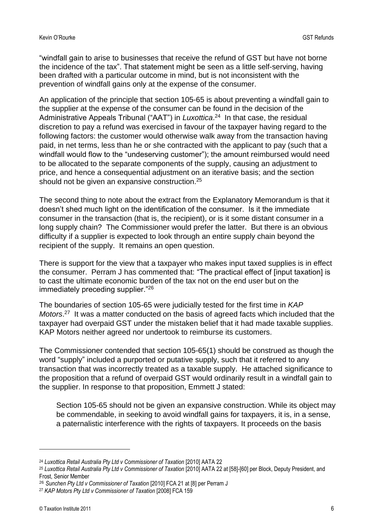"windfall gain to arise to businesses that receive the refund of GST but have not borne the incidence of the tax". That statement might be seen as a little self-serving, having been drafted with a particular outcome in mind, but is not inconsistent with the prevention of windfall gains only at the expense of the consumer.

An application of the principle that section 105-65 is about preventing a windfall gain to the supplier at the expense of the consumer can be found in the decision of the Administrative Appeals Tribunal ("AAT") in *Luxottica*. 24 In that case, the residual discretion to pay a refund was exercised in favour of the taxpayer having regard to the following factors: the customer would otherwise walk away from the transaction having paid, in net terms, less than he or she contracted with the applicant to pay (such that a windfall would flow to the "undeserving customer"); the amount reimbursed would need to be allocated to the separate components of the supply, causing an adjustment to price, and hence a consequential adjustment on an iterative basis; and the section should not be given an expansive construction.<sup>25</sup>

The second thing to note about the extract from the Explanatory Memorandum is that it doesn't shed much light on the identification of the consumer. Is it the immediate consumer in the transaction (that is, the recipient), or is it some distant consumer in a long supply chain? The Commissioner would prefer the latter. But there is an obvious difficulty if a supplier is expected to look through an entire supply chain beyond the recipient of the supply. It remains an open question.

There is support for the view that a taxpayer who makes input taxed supplies is in effect the consumer. Perram J has commented that: "The practical effect of [input taxation] is to cast the ultimate economic burden of the tax not on the end user but on the immediately preceding supplier."<sup>26</sup>

The boundaries of section 105-65 were judicially tested for the first time in *KAP*  Motors.<sup>27</sup> It was a matter conducted on the basis of agreed facts which included that the taxpayer had overpaid GST under the mistaken belief that it had made taxable supplies. KAP Motors neither agreed nor undertook to reimburse its customers.

The Commissioner contended that section 105-65(1) should be construed as though the word "supply" included a purported or putative supply, such that it referred to any transaction that was incorrectly treated as a taxable supply. He attached significance to the proposition that a refund of overpaid GST would ordinarily result in a windfall gain to the supplier. In response to that proposition, Emmett J stated:

Section 105-65 should not be given an expansive construction. While its object may be commendable, in seeking to avoid windfall gains for taxpayers, it is, in a sense, a paternalistic interference with the rights of taxpayers. It proceeds on the basis

<sup>24</sup> *Luxottica Retail Australia Pty Ltd v Commissioner of Taxation* [2010] AATA 22

<sup>25</sup> *Luxottica Retail Australia Pty Ltd v Commissioner of Taxation* [2010] AATA 22 at [58]-[60] per Block, Deputy President, and Frost, Senior Member

<sup>26</sup> *Sunchen Pty Ltd v Commissioner of Taxation* [2010] FCA 21 at [8] per Perram J

<sup>27</sup> *KAP Motors Pty Ltd v Commissioner of Taxation* [2008] FCA 159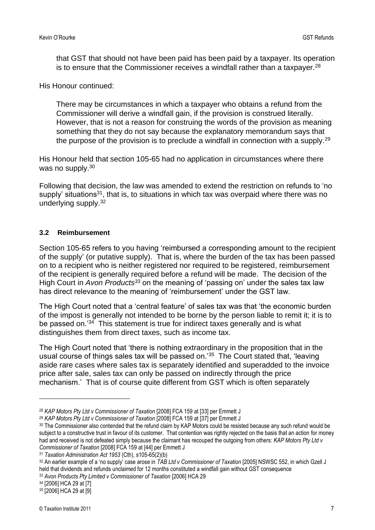that GST that should not have been paid has been paid by a taxpayer. Its operation is to ensure that the Commissioner receives a windfall rather than a taxpayer.<sup>28</sup>

His Honour continued:

There may be circumstances in which a taxpayer who obtains a refund from the Commissioner will derive a windfall gain, if the provision is construed literally. However, that is not a reason for construing the words of the provision as meaning something that they do not say because the explanatory memorandum says that the purpose of the provision is to preclude a windfall in connection with a supply.<sup>29</sup>

His Honour held that section 105-65 had no application in circumstances where there was no supply.<sup>30</sup>

Following that decision, the law was amended to extend the restriction on refunds to 'no supply' situations<sup>31</sup>, that is, to situations in which tax was overpaid where there was no underlying supply.<sup>32</sup>

## **3.2 Reimbursement**

Section 105-65 refers to you having 'reimbursed a corresponding amount to the recipient of the supply' (or putative supply). That is, where the burden of the tax has been passed on to a recipient who is neither registered nor required to be registered, reimbursement of the recipient is generally required before a refund will be made. The decision of the High Court in *Avon Products<sup>33</sup>* on the meaning of 'passing on' under the sales tax law has direct relevance to the meaning of 'reimbursement' under the GST law.

The High Court noted that a 'central feature' of sales tax was that 'the economic burden of the impost is generally not intended to be borne by the person liable to remit it; it is to be passed on.<sup>'34</sup> This statement is true for indirect taxes generally and is what distinguishes them from direct taxes, such as income tax.

The High Court noted that 'there is nothing extraordinary in the proposition that in the usual course of things sales tax will be passed on.'<sup>35</sup> The Court stated that, 'leaving aside rare cases where sales tax is separately identified and superadded to the invoice price after sale, sales tax can only be passed on indirectly through the price mechanism.' That is of course quite different from GST which is often separately

<sup>28</sup> *KAP Motors Pty Ltd v Commissioner of Taxation* [2008] FCA 159 at [33] per Emmett J

<sup>29</sup> *KAP Motors Pty Ltd v Commissioner of Taxation* [2008] FCA 159 at [37] per Emmett J

<sup>30</sup> The Commissioner also contended that the refund claim by KAP Motors could be resisted because any such refund would be subject to a constructive trust in favour of its customer. That contention was rightly rejected on the basis that an action for money had and received is not defeated simply because the claimant has recouped the outgoing from others: *KAP Motors Pty Ltd v Commissioner of Taxation* [2008] FCA 159 at [44] per Emmett J

<sup>31</sup> *Taxation Administration Act 1953* (Cth), s105-65(2)(b)

<sup>32</sup> An earlier example of a 'no supply' case arose in *TAB Ltd v Commissioner of Taxation* [2005] NSWSC 552, in which Gzell J held that dividends and refunds unclaimed for 12 months constituted a windfall gain without GST consequence

<sup>33</sup> *Avon Products Pty Limited v Commissioner of Taxation* [2006] HCA 29

<sup>34</sup> [2006] HCA 29 at [7]

<sup>35</sup> [2006] HCA 29 at [9]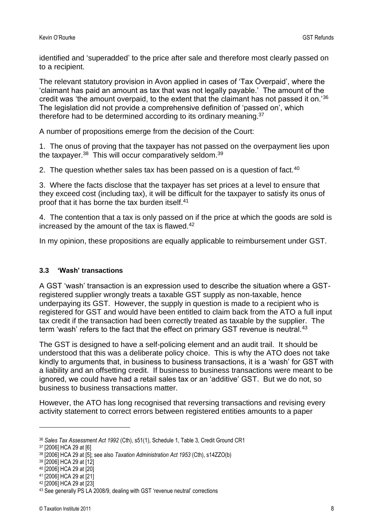identified and 'superadded' to the price after sale and therefore most clearly passed on to a recipient.

The relevant statutory provision in Avon applied in cases of 'Tax Overpaid', where the 'claimant has paid an amount as tax that was not legally payable.' The amount of the credit was 'the amount overpaid, to the extent that the claimant has not passed it on.' $36$ The legislation did not provide a comprehensive definition of 'passed on', which therefore had to be determined according to its ordinary meaning.<sup>37</sup>

A number of propositions emerge from the decision of the Court:

1. The onus of proving that the taxpayer has not passed on the overpayment lies upon the taxpayer.<sup>38</sup> This will occur comparatively seldom.<sup>39</sup>

2. The question whether sales tax has been passed on is a question of fact.  $40$ 

3. Where the facts disclose that the taxpayer has set prices at a level to ensure that they exceed cost (including tax), it will be difficult for the taxpayer to satisfy its onus of proof that it has borne the tax burden itself.<sup>41</sup>

4. The contention that a tax is only passed on if the price at which the goods are sold is increased by the amount of the tax is flawed.<sup>42</sup>

In my opinion, these propositions are equally applicable to reimbursement under GST.

## **3.3 'Wash' transactions**

A GST 'wash' transaction is an expression used to describe the situation where a GSTregistered supplier wrongly treats a taxable GST supply as non-taxable, hence underpaying its GST. However, the supply in question is made to a recipient who is registered for GST and would have been entitled to claim back from the ATO a full input tax credit if the transaction had been correctly treated as taxable by the supplier. The term 'wash' refers to the fact that the effect on primary GST revenue is neutral.<sup>43</sup>

The GST is designed to have a self-policing element and an audit trail. It should be understood that this was a deliberate policy choice. This is why the ATO does not take kindly to arguments that, in business to business transactions, it is a 'wash' for GST with a liability and an offsetting credit. If business to business transactions were meant to be ignored, we could have had a retail sales tax or an 'additive' GST. But we do not, so business to business transactions matter.

However, the ATO has long recognised that reversing transactions and revising every activity statement to correct errors between registered entities amounts to a paper

<sup>36</sup> *Sales Tax Assessment Act 1992* (Cth), s51(1), Schedule 1, Table 3, Credit Ground CR1

<sup>37</sup> [2006] HCA 29 at [6]

<sup>38</sup> [2006] HCA 29 at [5]; see also *Taxation Administration Act 1953* (Cth), s14ZZO(b)

<sup>39</sup> [2006] HCA 29 at [12]

<sup>40</sup> [2006] HCA 29 at [20]

<sup>41</sup> [2006] HCA 29 at [21]

<sup>42</sup> [2006] HCA 29 at [23]

<sup>43</sup> See generally PS LA 2008/9, dealing with GST 'revenue neutral' corrections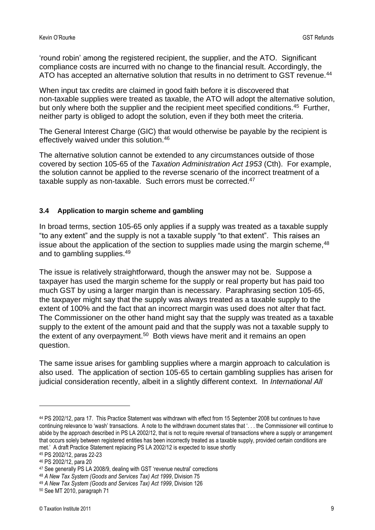'round robin' among the registered recipient, the supplier, and the ATO. Significant compliance costs are incurred with no change to the financial result. Accordingly, the ATO has accepted an alternative solution that results in no detriment to GST revenue.<sup>44</sup>

When input tax credits are claimed in good faith before it is discovered that non-taxable supplies were treated as taxable, the ATO will adopt the alternative solution, but only where both the supplier and the recipient meet specified conditions.<sup>45</sup> Further, neither party is obliged to adopt the solution, even if they both meet the criteria.

The General Interest Charge (GIC) that would otherwise be payable by the recipient is effectively waived under this solution.<sup>46</sup>

The alternative solution cannot be extended to any circumstances outside of those covered by section 105-65 of the *Taxation Administration Act 1953* (Cth). For example, the solution cannot be applied to the reverse scenario of the incorrect treatment of a taxable supply as non-taxable. Such errors must be corrected.<sup>47</sup>

### **3.4 Application to margin scheme and gambling**

In broad terms, section 105-65 only applies if a supply was treated as a taxable supply "to any extent" and the supply is not a taxable supply "to that extent". This raises an issue about the application of the section to supplies made using the margin scheme, <sup>48</sup> and to gambling supplies.<sup>49</sup>

The issue is relatively straightforward, though the answer may not be. Suppose a taxpayer has used the margin scheme for the supply or real property but has paid too much GST by using a larger margin than is necessary. Paraphrasing section 105-65, the taxpayer might say that the supply was always treated as a taxable supply to the extent of 100% and the fact that an incorrect margin was used does not alter that fact. The Commissioner on the other hand might say that the supply was treated as a taxable supply to the extent of the amount paid and that the supply was not a taxable supply to the extent of any overpayment.<sup>50</sup> Both views have merit and it remains an open question.

The same issue arises for gambling supplies where a margin approach to calculation is also used. The application of section 105-65 to certain gambling supplies has arisen for judicial consideration recently, albeit in a slightly different context. In *International All* 

<sup>44</sup> PS 2002/12, para 17. This Practice Statement was withdrawn with effect from 15 September 2008 but continues to have continuing relevance to 'wash' transactions. A note to the withdrawn document states that '. . . the Commissioner will continue to abide by the approach described in PS LA 2002/12, that is not to require reversal of transactions where a supply or arrangement that occurs solely between registered entities has been incorrectly treated as a taxable supply, provided certain conditions are met.' A draft Practice Statement replacing PS LA 2002/12 is expected to issue shortly

<sup>45</sup> PS 2002/12, paras 22-23

<sup>46</sup> PS 2002/12, para 20

<sup>47</sup> See generally PS LA 2008/9, dealing with GST 'revenue neutral' corrections

<sup>48</sup> *A New Tax System (Goods and Services Tax) Act 1999*, Division 75

<sup>49</sup> *A New Tax System (Goods and Services Tax) Act 1999*, Division 126

<sup>50</sup> See MT 2010, paragraph 71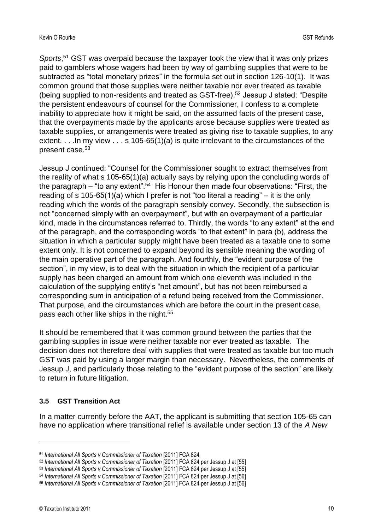Sports,<sup>51</sup> GST was overpaid because the taxpayer took the view that it was only prizes paid to gamblers whose wagers had been by way of gambling supplies that were to be subtracted as "total monetary prizes" in the formula set out in section 126-10(1). It was common ground that those supplies were neither taxable nor ever treated as taxable (being supplied to non-residents and treated as GST-free).<sup>52</sup> Jessup J stated: "Despite the persistent endeavours of counsel for the Commissioner, I confess to a complete inability to appreciate how it might be said, on the assumed facts of the present case, that the overpayments made by the applicants arose because supplies were treated as taxable supplies, or arrangements were treated as giving rise to taxable supplies, to any extent. . . . In my view . . . s 105-65(1)(a) is quite irrelevant to the circumstances of the present case.<sup>53</sup>

Jessup J continued: "Counsel for the Commissioner sought to extract themselves from the reality of what s 105-65(1)(a) actually says by relying upon the concluding words of the paragraph – "to any extent".<sup>54</sup> His Honour then made four observations: "First, the reading of s 105-65(1)(a) which I prefer is not "too literal a reading" – it is the only reading which the words of the paragraph sensibly convey. Secondly, the subsection is not "concerned simply with an overpayment", but with an overpayment of a particular kind, made in the circumstances referred to. Thirdly, the words "to any extent" at the end of the paragraph, and the corresponding words "to that extent" in para (b), address the situation in which a particular supply might have been treated as a taxable one to some extent only. It is not concerned to expand beyond its sensible meaning the wording of the main operative part of the paragraph. And fourthly, the "evident purpose of the section", in my view, is to deal with the situation in which the recipient of a particular supply has been charged an amount from which one eleventh was included in the calculation of the supplying entity's "net amount", but has not been reimbursed a corresponding sum in anticipation of a refund being received from the Commissioner. That purpose, and the circumstances which are before the court in the present case, pass each other like ships in the night.<sup>55</sup>

It should be remembered that it was common ground between the parties that the gambling supplies in issue were neither taxable nor ever treated as taxable. The decision does not therefore deal with supplies that were treated as taxable but too much GST was paid by using a larger margin than necessary. Nevertheless, the comments of Jessup J, and particularly those relating to the "evident purpose of the section" are likely to return in future litigation.

## **3.5 GST Transition Act**

In a matter currently before the AAT, the applicant is submitting that section 105-65 can have no application where transitional relief is available under section 13 of the *A New* 

<sup>51</sup> *International All Sports v Commissioner of Taxation* [2011] FCA 824

<sup>52</sup> *International All Sports v Commissioner of Taxation* [2011] FCA 824 per Jessup J at [55]

<sup>53</sup> *International All Sports v Commissioner of Taxation* [2011] FCA 824 per Jessup J at [55]

<sup>54</sup> *International All Sports v Commissioner of Taxation* [2011] FCA 824 per Jessup J at [56]

<sup>55</sup> *International All Sports v Commissioner of Taxation* [2011] FCA 824 per Jessup J at [56]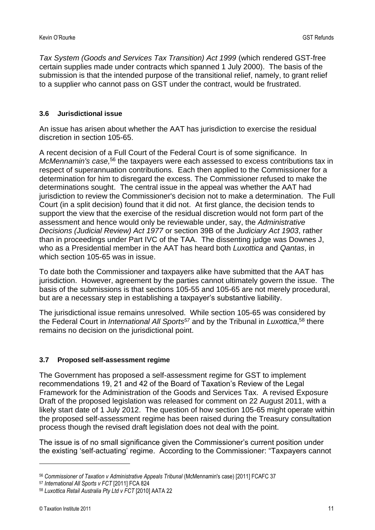*Tax System (Goods and Services Tax Transition) Act 1999* (which rendered GST-free certain supplies made under contracts which spanned 1 July 2000). The basis of the submission is that the intended purpose of the transitional relief, namely, to grant relief to a supplier who cannot pass on GST under the contract, would be frustrated.

## **3.6 Jurisdictional issue**

An issue has arisen about whether the AAT has jurisdiction to exercise the residual discretion in section 105-65.

A recent decision of a Full Court of the Federal Court is of some significance. In McMennamin's case,<sup>56</sup> the taxpayers were each assessed to excess contributions tax in respect of superannuation contributions. Each then applied to the Commissioner for a determination for him to disregard the excess. The Commissioner refused to make the determinations sought. The central issue in the appeal was whether the AAT had jurisdiction to review the Commissioner's decision not to make a determination. The Full Court (in a split decision) found that it did not. At first glance, the decision tends to support the view that the exercise of the residual discretion would not form part of the assessment and hence would only be reviewable under, say, the *Administrative Decisions (Judicial Review) Act 1977* or section 39B of the *Judiciary Act 1903*, rather than in proceedings under Part IVC of the TAA. The dissenting judge was Downes J, who as a Presidential member in the AAT has heard both *Luxottica* and *Qantas*, in which section 105-65 was in issue.

To date both the Commissioner and taxpayers alike have submitted that the AAT has jurisdiction. However, agreement by the parties cannot ultimately govern the issue. The basis of the submissions is that sections 105-55 and 105-65 are not merely procedural, but are a necessary step in establishing a taxpayer's substantive liability.

The jurisdictional issue remains unresolved. While section 105-65 was considered by the Federal Court in *International All Sports<sup>57</sup>* and by the Tribunal in *Luxottica*, <sup>58</sup> there remains no decision on the jurisdictional point.

## **3.7 Proposed self-assessment regime**

The Government has proposed a self-assessment regime for GST to implement recommendations 19, 21 and 42 of the Board of Taxation's Review of the Legal Framework for the Administration of the Goods and Services Tax. A revised Exposure Draft of the proposed legislation was released for comment on 22 August 2011, with a likely start date of 1 July 2012. The question of how section 105-65 might operate within the proposed self-assessment regime has been raised during the Treasury consultation process though the revised draft legislation does not deal with the point.

The issue is of no small significance given the Commissioner's current position under the existing 'self-actuating' regime. According to the Commissioner: "Taxpayers cannot

<sup>56</sup> *Commissioner of Taxation v Administrative Appeals Tribunal* (McMennamin's case) [2011] FCAFC 37

<sup>57</sup> *International All Sports v FCT* [2011] FCA 824

<sup>58</sup> *Luxottica Retail Australia Pty Ltd v FCT* [2010] AATA 22